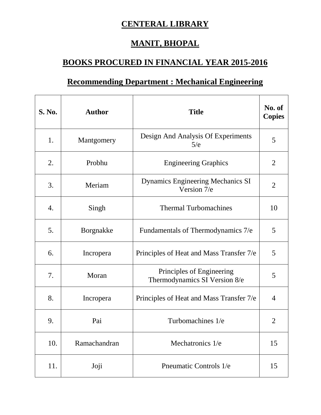## **CENTERAL LIBRARY**

## **MANIT, BHOPAL**

## **BOOKS PROCURED IN FINANCIAL YEAR 2015-2016**

## **Recommending Department : Mechanical Engineering**

| <b>S. No.</b> | <b>Author</b> | <b>Title</b>                                               | No. of<br><b>Copies</b> |
|---------------|---------------|------------------------------------------------------------|-------------------------|
| 1.            | Mantgomery    | Design And Analysis Of Experiments<br>5/e                  | 5                       |
| 2.            | Probhu        | <b>Engineering Graphics</b>                                | 2                       |
| 3.            | Meriam        | <b>Dynamics Engineering Mechanics SI</b><br>Version 7/e    | $\overline{2}$          |
| 4.            | Singh         | <b>Thermal Turbomachines</b>                               | 10                      |
| 5.            | Borgnakke     | Fundamentals of Thermodynamics 7/e                         | 5                       |
| 6.            | Incropera     | Principles of Heat and Mass Transfer 7/e                   | 5                       |
| 7.            | Moran         | Principles of Engineering<br>Thermodynamics SI Version 8/e | 5                       |
| 8.            | Incropera     | Principles of Heat and Mass Transfer 7/e                   | $\overline{4}$          |
| 9.            | Pai           | Turbomachines 1/e                                          | $\overline{2}$          |
| 10.           | Ramachandran  | Mechatronics 1/e                                           | 15                      |
| 11.           | Joji          | Pneumatic Controls 1/e                                     | 15                      |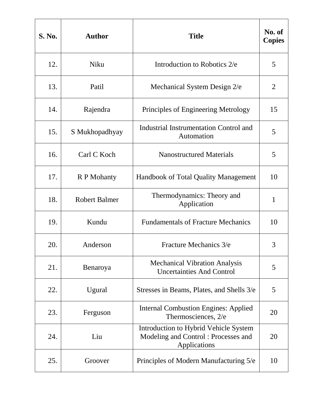| <b>S. No.</b> | <b>Author</b>        | <b>Title</b>                                                                                 | No. of<br><b>Copies</b> |
|---------------|----------------------|----------------------------------------------------------------------------------------------|-------------------------|
| 12.           | <b>Niku</b>          | Introduction to Robotics 2/e                                                                 | 5                       |
| 13.           | Patil                | Mechanical System Design 2/e                                                                 | 2                       |
| 14.           | Rajendra             | Principles of Engineering Metrology                                                          | 15                      |
| 15.           | S Mukhopadhyay       | Industrial Instrumentation Control and<br>Automation                                         | 5                       |
| 16.           | Carl C Koch          | <b>Nanostructured Materials</b>                                                              | 5                       |
| 17.           | R P Mohanty          | Handbook of Total Quality Management                                                         | 10                      |
| 18.           | <b>Robert Balmer</b> | Thermodynamics: Theory and<br>Application                                                    | 1                       |
| 19.           | Kundu                | <b>Fundamentals of Fracture Mechanics</b>                                                    | 10                      |
| 20.           | Anderson             | Fracture Mechanics 3/e                                                                       | 3                       |
| 21.           | Benaroya             | <b>Mechanical Vibration Analysis</b><br><b>Uncertainties And Control</b>                     | 5                       |
| 22.           | Ugural               | Stresses in Beams, Plates, and Shells 3/e                                                    | 5                       |
| 23.           | Ferguson             | <b>Internal Combustion Engines: Applied</b><br>Thermosciences, 2/e                           | 20                      |
| 24.           | Liu                  | Introduction to Hybrid Vehicle System<br>Modeling and Control: Processes and<br>Applications | 20                      |
| 25.           | Groover              | Principles of Modern Manufacturing 5/e                                                       | 10                      |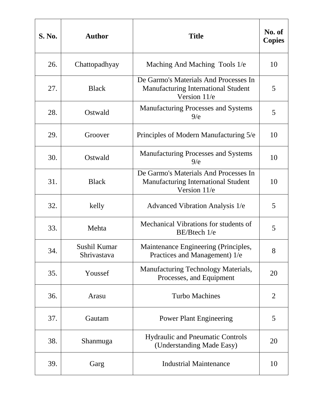| <b>S. No.</b> | <b>Author</b>               | <b>Title</b>                                                                                        | No. of<br><b>Copies</b> |
|---------------|-----------------------------|-----------------------------------------------------------------------------------------------------|-------------------------|
| 26.           | Chattopadhyay               | Maching And Maching Tools 1/e                                                                       | 10                      |
| 27.           | <b>Black</b>                | De Garmo's Materials And Processes In<br>Manufacturing International Student<br>Version 11/e        | 5                       |
| 28.           | Ostwald                     | <b>Manufacturing Processes and Systems</b><br>9/e                                                   | 5                       |
| 29.           | Groover                     | Principles of Modern Manufacturing 5/e                                                              | 10                      |
| 30.           | Ostwald                     | <b>Manufacturing Processes and Systems</b><br>9/e                                                   | 10                      |
| 31.           | <b>Black</b>                | De Garmo's Materials And Processes In<br><b>Manufacturing International Student</b><br>Version 11/e | 10                      |
| 32.           | kelly                       | Advanced Vibration Analysis 1/e                                                                     | 5                       |
| 33.           | Mehta                       | Mechanical Vibrations for students of<br>BE/Btech 1/e                                               | 5                       |
| 34.           | Sushil Kumar<br>Shrivastava | Maintenance Engineering (Principles,<br>Practices and Management) 1/e                               | 8                       |
| 35.           | Youssef                     | Manufacturing Technology Materials,<br>Processes, and Equipment                                     | 20                      |
| 36.           | Arasu                       | <b>Turbo Machines</b>                                                                               | $\overline{2}$          |
| 37.           | Gautam                      | <b>Power Plant Engineering</b>                                                                      | 5                       |
| 38.           | Shanmuga                    | <b>Hydraulic and Pneumatic Controls</b><br>(Understanding Made Easy)                                | 20                      |
| 39.           | Garg                        | <b>Industrial Maintenance</b>                                                                       | 10                      |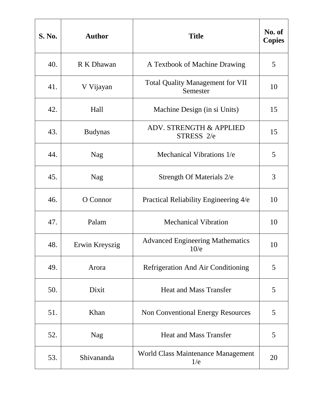| <b>S. No.</b> | <b>Author</b>  | <b>Title</b>                                        | No. of<br><b>Copies</b> |
|---------------|----------------|-----------------------------------------------------|-------------------------|
| 40.           | R K Dhawan     | A Textbook of Machine Drawing                       | 5                       |
| 41.           | V Vijayan      | <b>Total Quality Management for VII</b><br>Semester | 10                      |
| 42.           | Hall           | Machine Design (in si Units)                        | 15                      |
| 43.           | <b>Budynas</b> | ADV. STRENGTH & APPLIED<br>STRESS 2/e               | 15                      |
| 44.           | <b>Nag</b>     | Mechanical Vibrations 1/e                           | 5                       |
| 45.           | <b>Nag</b>     | Strength Of Materials 2/e                           | 3                       |
| 46.           | O Connor       | Practical Reliability Engineering 4/e               | 10                      |
| 47.           | Palam          | <b>Mechanical Vibration</b>                         | 10                      |
| 48.           | Erwin Kreyszig | <b>Advanced Engineering Mathematics</b><br>10/e     | 10                      |
| 49.           | Arora          | <b>Refrigeration And Air Conditioning</b>           | 5                       |
| 50.           | Dixit          | <b>Heat and Mass Transfer</b>                       | 5                       |
| 51.           | Khan           | <b>Non Conventional Energy Resources</b>            | 5                       |
| 52.           | Nag            | <b>Heat and Mass Transfer</b>                       | 5                       |
| 53.           | Shivananda     | World Class Maintenance Management<br>1/e           | 20                      |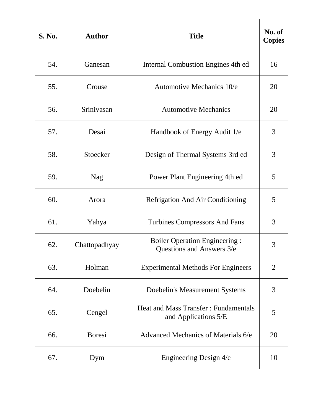| S. No. | <b>Author</b> | <b>Title</b>                                                        | No. of<br><b>Copies</b> |
|--------|---------------|---------------------------------------------------------------------|-------------------------|
| 54.    | Ganesan       | Internal Combustion Engines 4th ed                                  | 16                      |
| 55.    | Crouse        | Automotive Mechanics 10/e                                           | 20                      |
| 56.    | Srinivasan    | <b>Automotive Mechanics</b>                                         | 20                      |
| 57.    | Desai         | Handbook of Energy Audit 1/e                                        | 3                       |
| 58.    | Stoecker      | Design of Thermal Systems 3rd ed                                    | 3                       |
| 59.    | Nag           | Power Plant Engineering 4th ed                                      | 5                       |
| 60.    | Arora         | <b>Refrigation And Air Conditioning</b>                             | 5                       |
| 61.    | Yahya         | <b>Turbines Compressors And Fans</b>                                | 3                       |
| 62.    | Chattopadhyay | <b>Boiler Operation Engineering:</b><br>Questions and Answers 3/e   | 3                       |
| 63.    | Holman        | <b>Experimental Methods For Engineers</b>                           | $\overline{2}$          |
| 64.    | Doebelin      | Doebelin's Measurement Systems                                      | 3                       |
| 65.    | Cengel        | <b>Heat and Mass Transfer: Fundamentals</b><br>and Applications 5/E | 5                       |
| 66.    | <b>Boresi</b> | Advanced Mechanics of Materials 6/e                                 | 20                      |
| 67.    | Dym           | Engineering Design 4/e                                              | 10                      |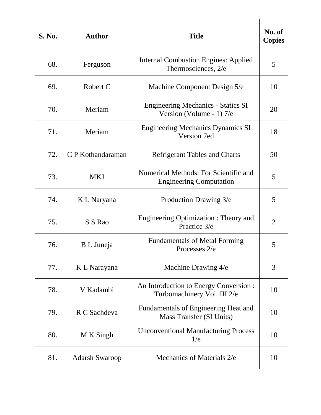| <b>S. No.</b> | <b>Author</b>         | <b>Title</b>                                                            | No. of<br><b>Copies</b> |
|---------------|-----------------------|-------------------------------------------------------------------------|-------------------------|
| 68.           | Ferguson              | <b>Internal Combustion Engines: Applied</b><br>Thermosciences, 2/e      | 5                       |
| 69.           | Robert C              | Machine Component Design 5/e                                            | 10                      |
| 70.           | Meriam                | <b>Engineering Mechanics - Statics SI</b><br>Version (Volume - 1) 7/e   | 20                      |
| 71.           | Meriam                | <b>Engineering Mechanics Dynamics SI</b><br>Version 7ed                 | 18                      |
| 72.           | C P Kothandaraman     | <b>Refrigerant Tables and Charts</b>                                    | 50                      |
| 73.           | <b>MKJ</b>            | Numerical Methods: For Scientific and<br><b>Engineering Computation</b> | 5                       |
| 74.           | K L Naryana           | Production Drawing 3/e                                                  | 5                       |
| 75.           | S S Rao               | Engineering Optimization: Theory and<br>Practice 3/e                    | $\overline{2}$          |
| 76.           | B L Juneja            | <b>Fundamentals of Metal Forming</b><br>Processes 2/e                   | 5                       |
| 77.           | K L Narayana          | Machine Drawing 4/e                                                     | 3                       |
| 78.           | V Kadambi             | An Introduction to Energy Conversion :<br>Turbomachinery Vol. III 2/e   | 10                      |
| 79.           | R C Sachdeva          | Fundamentals of Engineering Heat and<br>Mass Transfer (SI Units)        | 10                      |
| 80.           | M K Singh             | <b>Unconventional Manufacturing Process</b><br>1/e                      | 10                      |
| 81.           | <b>Adarsh Swaroop</b> | Mechanics of Materials 2/e                                              | 10                      |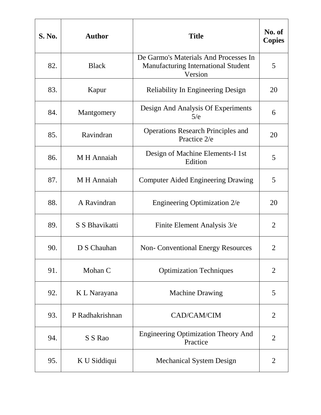| <b>S. No.</b> | <b>Author</b>   | <b>Title</b>                                                                            | No. of<br><b>Copies</b> |
|---------------|-----------------|-----------------------------------------------------------------------------------------|-------------------------|
| 82.           | <b>Black</b>    | De Garmo's Materials And Processes In<br>Manufacturing International Student<br>Version | 5                       |
| 83.           | Kapur           | <b>Reliability In Engineering Design</b>                                                | 20                      |
| 84.           | Mantgomery      | Design And Analysis Of Experiments<br>5/e                                               | 6                       |
| 85.           | Ravindran       | <b>Operations Research Principles and</b><br>Practice 2/e                               | 20                      |
| 86.           | M H Annaiah     | Design of Machine Elements-I 1st<br>Edition                                             | 5                       |
| 87.           | M H Annaiah     | <b>Computer Aided Engineering Drawing</b>                                               | 5                       |
| 88.           | A Ravindran     | Engineering Optimization 2/e                                                            | 20                      |
| 89.           | S S Bhavikatti  | Finite Element Analysis 3/e                                                             | $\overline{2}$          |
| 90.           | D S Chauhan     | <b>Non- Conventional Energy Resources</b>                                               | $\overline{2}$          |
| 91.           | Mohan C         | <b>Optimization Techniques</b>                                                          | 2                       |
| 92.           | K L Narayana    | <b>Machine Drawing</b>                                                                  | 5                       |
| 93.           | P Radhakrishnan | CAD/CAM/CIM                                                                             | $\overline{2}$          |
| 94.           | S S Rao         | <b>Engineering Optimization Theory And</b><br>Practice                                  | $\overline{2}$          |
| 95.           | K U Siddiqui    | <b>Mechanical System Design</b>                                                         | 2                       |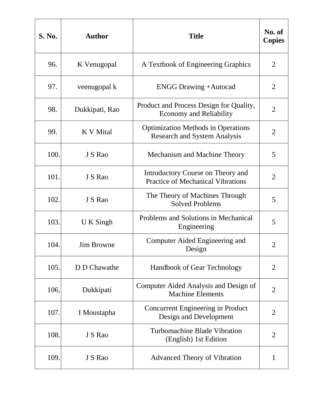| <b>S. No.</b> | <b>Author</b>     | <b>Title</b>                                                                     | No. of<br><b>Copies</b> |
|---------------|-------------------|----------------------------------------------------------------------------------|-------------------------|
| 96.           | K Venugopal       | A Textbook of Engineering Graphics                                               | 2                       |
| 97.           | veenugopal k      | <b>ENGG Drawing +Autocad</b>                                                     | 2                       |
| 98.           | Dukkipati, Rao    | Product and Process Design for Quality,<br><b>Economy and Reliability</b>        | $\overline{2}$          |
| 99.           | K V Mital         | <b>Optimization Methods in Operations</b><br><b>Research and System Analysis</b> | $\overline{2}$          |
| 100.          | J S Rao           | Mechanism and Machine Theory                                                     | 5                       |
| 101.          | J S Rao           | Introductory Course on Theory and<br><b>Practice of Mechanical Vibrations</b>    | $\overline{2}$          |
| 102.          | J S Rao           | The Theory of Machines Through<br><b>Solved Problems</b>                         | 5                       |
| 103.          | U K Singh         | Problems and Solutions in Mechanical<br>Engineering                              | 5                       |
| 104.          | <b>Jim Browne</b> | Computer Aided Engineering and<br>Design                                         | $\overline{2}$          |
| 105.          | D D Chawathe      | <b>Handbook of Gear Technology</b>                                               | $\overline{2}$          |
| 106.          | Dukkipati         | Computer Aided Analysis and Design of<br><b>Machine Elements</b>                 | $\overline{2}$          |
| 107.          | I Moustapha       | <b>Concurrent Engineering in Product</b><br>Design and Development               | $\overline{2}$          |
| 108.          | J S Rao           | <b>Turbomachine Blade Vibration</b><br>(English) 1st Edition                     | $\overline{2}$          |
| 109.          | J S Rao           | <b>Advanced Theory of Vibration</b>                                              | 1                       |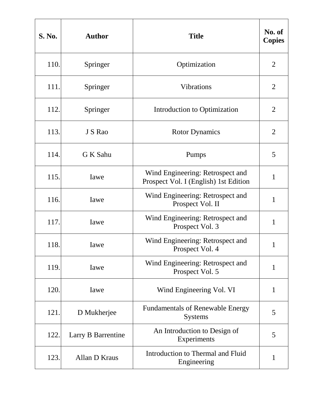| <b>S. No.</b> | <b>Author</b>      | <b>Title</b>                                                              | No. of<br><b>Copies</b> |
|---------------|--------------------|---------------------------------------------------------------------------|-------------------------|
| 110.          | Springer           | Optimization                                                              | $\overline{2}$          |
| 111.          | Springer           | <b>Vibrations</b>                                                         | 2                       |
| 112.          | Springer           | Introduction to Optimization                                              | $\overline{2}$          |
| 113.          | J S Rao            | <b>Rotor Dynamics</b>                                                     | $\overline{2}$          |
| 114.          | G K Sahu           | Pumps                                                                     | 5                       |
| 115.          | Iawe               | Wind Engineering: Retrospect and<br>Prospect Vol. I (English) 1st Edition | 1                       |
| 116.          | Iawe               | Wind Engineering: Retrospect and<br>Prospect Vol. II                      | $\mathbf{1}$            |
| 117.          | Iawe               | Wind Engineering: Retrospect and<br>Prospect Vol. 3                       | $\mathbf{1}$            |
| 118.          | Iawe               | Wind Engineering: Retrospect and<br>Prospect Vol. 4                       | 1                       |
| 119.          | Iawe               | Wind Engineering: Retrospect and<br>Prospect Vol. 5                       | $\mathbf{1}$            |
| 120.          | Iawe               | Wind Engineering Vol. VI                                                  | 1                       |
| 121.          | D Mukherjee        | <b>Fundamentals of Renewable Energy</b><br><b>Systems</b>                 | 5                       |
| 122.          | Larry B Barrentine | An Introduction to Design of<br>Experiments                               | 5                       |
| 123.          | Allan D Kraus      | Introduction to Thermal and Fluid<br>Engineering                          | 1                       |